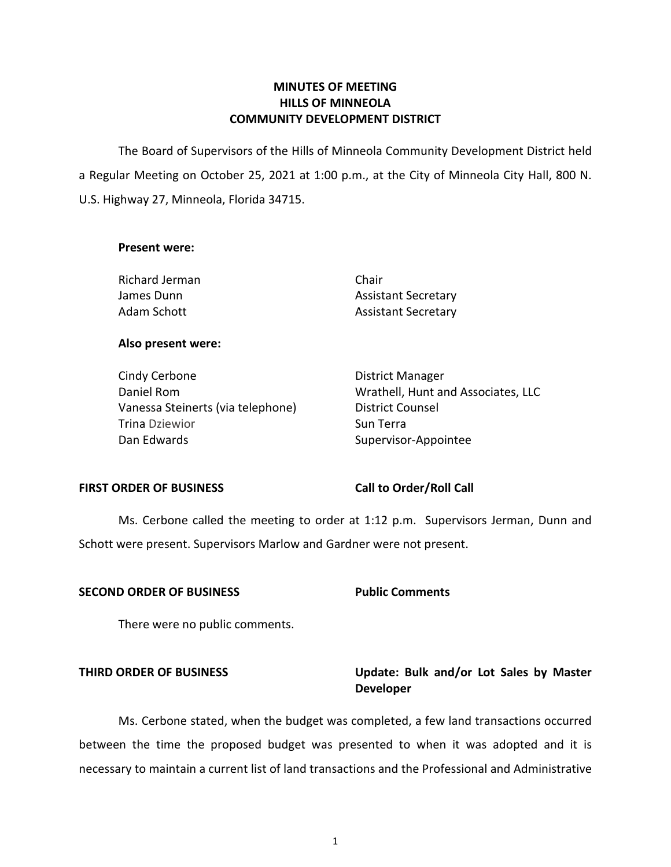# **MINUTES OF MEETING HILLS OF MINNEOLA COMMUNITY DEVELOPMENT DISTRICT**

 The Board of Supervisors of the Hills of Minneola Community Development District held a Regular Meeting on October 25, 2021 at 1:00 p.m., at the City of Minneola City Hall, 800 N. U.S. Highway 27, Minneola, Florida 34715.

## **Present were:**

Richard Jerman Chair James Dunn **Assistant Secretary** Adam Schott **Assistant Secretary** 

# **Also present were:**

| Cindy Cerbone                     | <b>District Manager</b>            |
|-----------------------------------|------------------------------------|
| Daniel Rom                        | Wrathell, Hunt and Associates, LLC |
| Vanessa Steinerts (via telephone) | District Counsel                   |
| Trina Dziewior                    | Sun Terra                          |
| Dan Edwards                       | Supervisor-Appointee               |

# FIRST ORDER OF BUSINESS Call to Order/Roll Call

 Ms. Cerbone called the meeting to order at 1:12 p.m. Supervisors Jerman, Dunn and Schott were present. Supervisors Marlow and Gardner were not present.

# **SECOND ORDER OF BUSINESS Public Comments**

There were no public comments.

# **THIRD ORDER OF BUSINESS Update: Bulk and/or Lot Sales by Master Developer**

 Ms. Cerbone stated, when the budget was completed, a few land transactions occurred between the time the proposed budget was presented to when it was adopted and it is necessary to maintain a current list of land transactions and the Professional and Administrative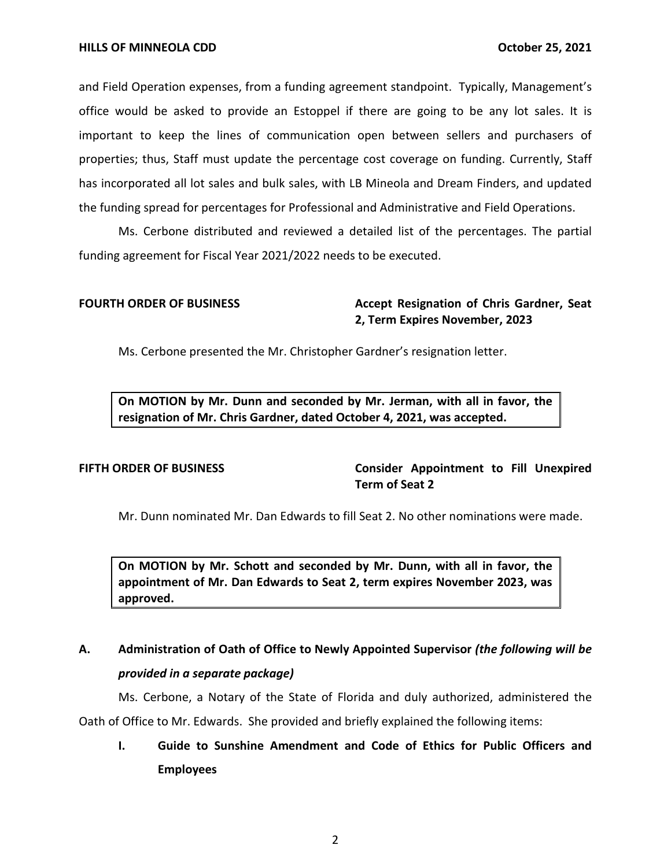and Field Operation expenses, from a funding agreement standpoint. Typically, Management's office would be asked to provide an Estoppel if there are going to be any lot sales. It is important to keep the lines of communication open between sellers and purchasers of properties; thus, Staff must update the percentage cost coverage on funding. Currently, Staff has incorporated all lot sales and bulk sales, with LB Mineola and Dream Finders, and updated the funding spread for percentages for Professional and Administrative and Field Operations.

Ms. Cerbone distributed and reviewed a detailed list of the percentages. The partial funding agreement for Fiscal Year 2021/2022 needs to be executed.

# **FOURTH ORDER OF BUSINESS Accept Resignation of Chris Gardner, Seat 2, Term Expires November, 2023**

Ms. Cerbone presented the Mr. Christopher Gardner's resignation letter.

 **On MOTION by Mr. Dunn and seconded by Mr. Jerman, with all in favor, the resignation of Mr. Chris Gardner, dated October 4, 2021, was accepted.** 

**FIFTH ORDER OF BUSINESS Consider Appointment to Fill Unexpired Term of Seat 2** 

Mr. Dunn nominated Mr. Dan Edwards to fill Seat 2. No other nominations were made.

 **On MOTION by Mr. Schott and seconded by Mr. Dunn, with all in favor, the appointment of Mr. Dan Edwards to Seat 2, term expires November 2023, was approved.** 

# **A. Administration of Oath of Office to Newly Appointed Supervisor** *(the following will be provided in a separate package)*

Ms. Cerbone, a Notary of the State of Florida and duly authorized, administered the

Oath of Office to Mr. Edwards. She provided and briefly explained the following items:

**I. Guide to Sunshine Amendment and Code of Ethics for Public Officers and Employees**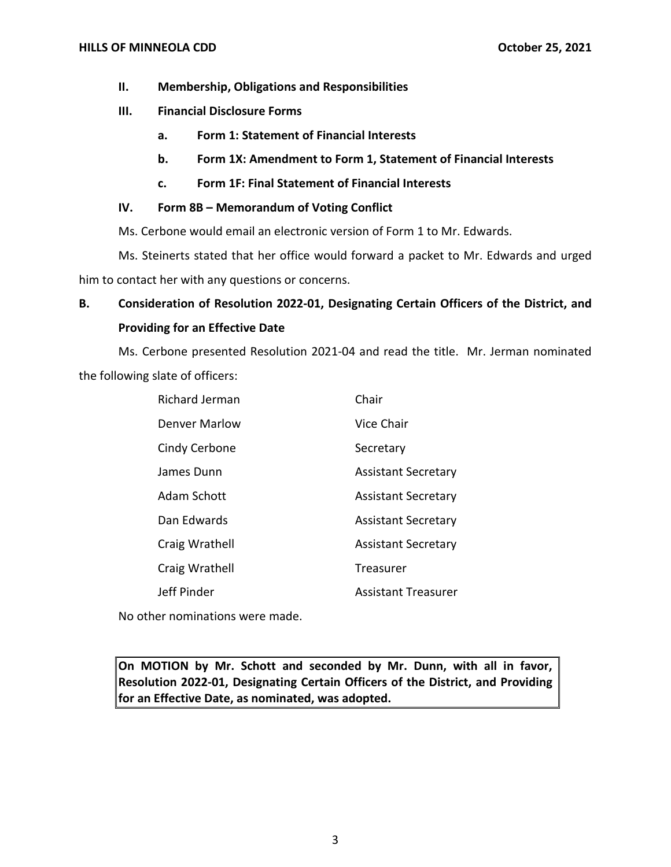- **II. Membership, Obligations and Responsibilities**
- **III. Financial Disclosure Forms** 
	- **a. Form 1: Statement of Financial Interests**
	- **b. Form 1X: Amendment to Form 1, Statement of Financial Interests**
	- **c. Form 1F: Final Statement of Financial Interests**

# **IV. Form 8B – Memorandum of Voting Conflict**

Ms. Cerbone would email an electronic version of Form 1 to Mr. Edwards.

Ms. Steinerts stated that her office would forward a packet to Mr. Edwards and urged him to contact her with any questions or concerns.

# **B. Consideration of Resolution 2022-01, Designating Certain Officers of the District, and Providing for an Effective Date**

Ms. Cerbone presented Resolution 2021-04 and read the title. Mr. Jerman nominated the following slate of officers:

| <b>Richard Jerman</b> | Chair                      |
|-----------------------|----------------------------|
| Denver Marlow         | Vice Chair                 |
| Cindy Cerbone         | Secretary                  |
| James Dunn            | <b>Assistant Secretary</b> |
| Adam Schott           | <b>Assistant Secretary</b> |
| Dan Edwards           | <b>Assistant Secretary</b> |
| Craig Wrathell        | <b>Assistant Secretary</b> |
| Craig Wrathell        | Treasurer                  |
| Jeff Pinder           | Assistant Treasurer        |

No other nominations were made.

 **On MOTION by Mr. Schott and seconded by Mr. Dunn, with all in favor, Resolution 2022-01, Designating Certain Officers of the District, and Providing for an Effective Date, as nominated, was adopted.**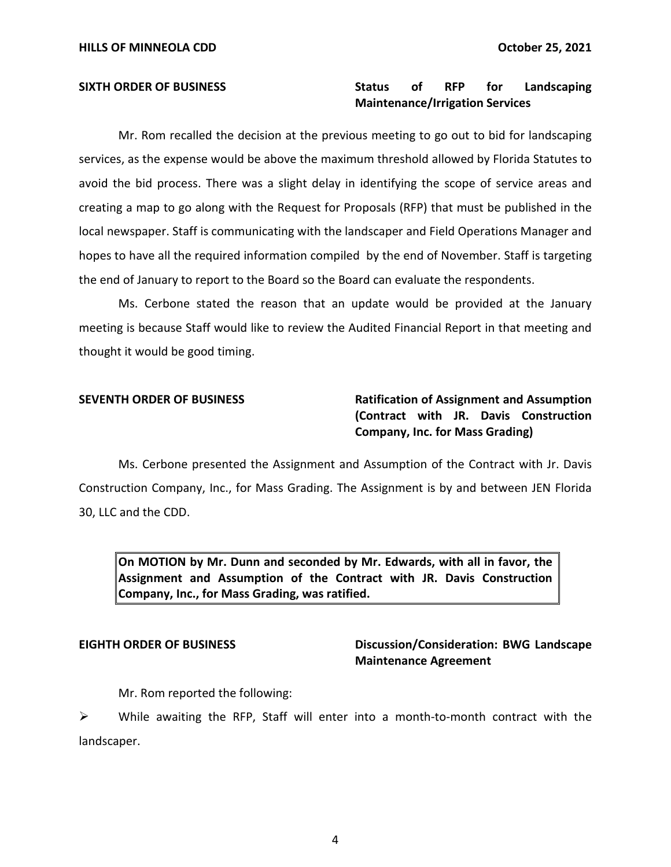# SIXTH ORDER OF BUSINESS **Status of RFP** for Landscaping **Maintenance/Irrigation Services**

Mr. Rom recalled the decision at the previous meeting to go out to bid for landscaping services, as the expense would be above the maximum threshold allowed by Florida Statutes to avoid the bid process. There was a slight delay in identifying the scope of service areas and creating a map to go along with the Request for Proposals (RFP) that must be published in the local newspaper. Staff is communicating with the landscaper and Field Operations Manager and hopes to have all the required information compiled by the end of November. Staff is targeting the end of January to report to the Board so the Board can evaluate the respondents.

Ms. Cerbone stated the reason that an update would be provided at the January meeting is because Staff would like to review the Audited Financial Report in that meeting and thought it would be good timing.

# **SEVENTH ORDER OF BUSINESS Ratification of Assignment and Assumption (Contract with JR. Davis Construction Company, Inc. for Mass Grading)**

Ms. Cerbone presented the Assignment and Assumption of the Contract with Jr. Davis Construction Company, Inc., for Mass Grading. The Assignment is by and between JEN Florida 30, LLC and the CDD.

 **On MOTION by Mr. Dunn and seconded by Mr. Edwards, with all in favor, the Assignment and Assumption of the Contract with JR. Davis Construction Company, Inc., for Mass Grading, was ratified.** 

# **EIGHTH ORDER OF BUSINESS Discussion/Consideration: BWG Landscape Maintenance Agreement**

Mr. Rom reported the following:

➢ While awaiting the RFP, Staff will enter into a month-to-month contract with the landscaper.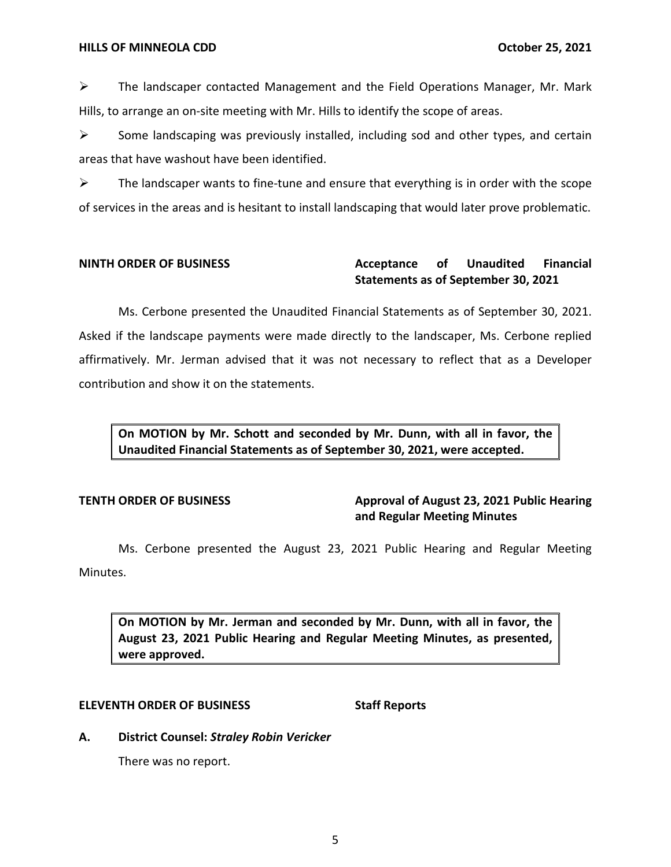$\triangleright$  The landscaper contacted Management and the Field Operations Manager, Mr. Mark Hills, to arrange an on-site meeting with Mr. Hills to identify the scope of areas.

 $\triangleright$  Some landscaping was previously installed, including sod and other types, and certain areas that have washout have been identified.

 $\triangleright$  The landscaper wants to fine-tune and ensure that everything is in order with the scope of services in the areas and is hesitant to install landscaping that would later prove problematic.

## **Acceptance Statements as of September 30, 2021 NINTH ORDER OF BUSINESS Acceptance of Unaudited Financial**

Ms. Cerbone presented the Unaudited Financial Statements as of September 30, 2021. Asked if the landscape payments were made directly to the landscaper, Ms. Cerbone replied affirmatively. Mr. Jerman advised that it was not necessary to reflect that as a Developer contribution and show it on the statements.

 **On MOTION by Mr. Schott and seconded by Mr. Dunn, with all in favor, the Unaudited Financial Statements as of September 30, 2021, were accepted.** 

**TENTH ORDER OF BUSINESS Approval of August 23, 2021 Public Hearing and Regular Meeting Minutes** 

 Ms. Cerbone presented the August 23, 2021 Public Hearing and Regular Meeting Minutes.

 **On MOTION by Mr. Jerman and seconded by Mr. Dunn, with all in favor, the August 23, 2021 Public Hearing and Regular Meeting Minutes, as presented, were approved.** 

# **ELEVENTH ORDER OF BUSINESS STATES STAFF Reports**

 **A. District Counsel:** *Straley Robin Vericker* 

There was no report.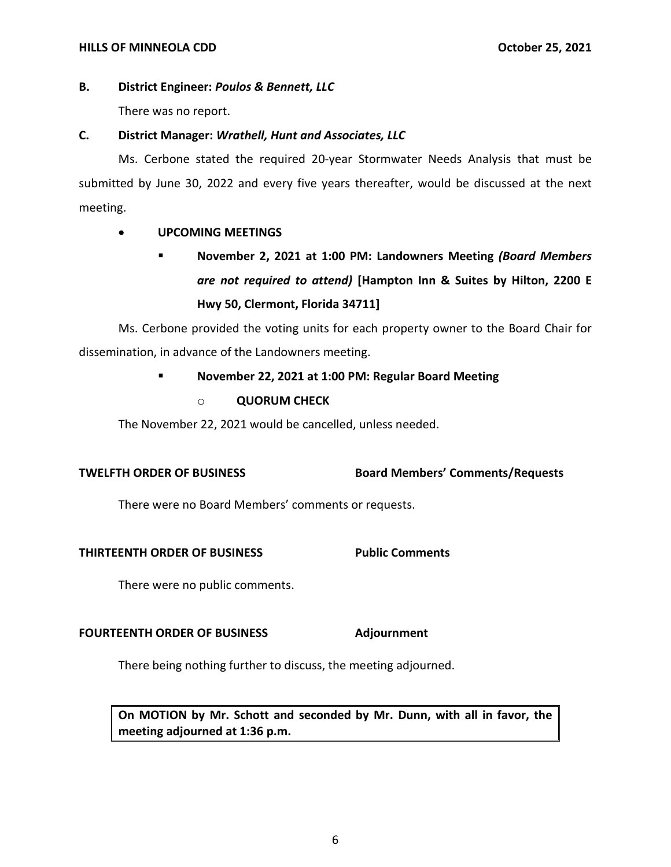## **HILLS OF MINNEOLA CDD October 25, 2021**

# **B. District Engineer:** *Poulos & Bennett, LLC*

There was no report.

# **C. District Manager:** *Wrathell, Hunt and Associates, LLC*

Ms. Cerbone stated the required 20-year Stormwater Needs Analysis that must be submitted by June 30, 2022 and every five years thereafter, would be discussed at the next meeting.

# • **UPCOMING MEETINGS**

▪ **November 2, 2021 at 1:00 PM: Landowners Meeting** *(Board Members are not required to attend)* **[Hampton Inn & Suites by Hilton, 2200 E Hwy 50, Clermont, Florida 34711]** 

Ms. Cerbone provided the voting units for each property owner to the Board Chair for dissemination, in advance of the Landowners meeting.

# ▪ **November 22, 2021 at 1:00 PM: Regular Board Meeting**

o **QUORUM CHECK** 

The November 22, 2021 would be cancelled, unless needed.

 **TWELFTH ORDER OF BUSINESS Board Members' Comments/Requests**

There were no Board Members' comments or requests.

# **THIRTEENTH ORDER OF BUSINESS Public Comments**

There were no public comments.

# **FOURTEENTH ORDER OF BUSINESS Adjournment**

There being nothing further to discuss, the meeting adjourned.

 **On MOTION by Mr. Schott and seconded by Mr. Dunn, with all in favor, the meeting adjourned at 1:36 p.m.**